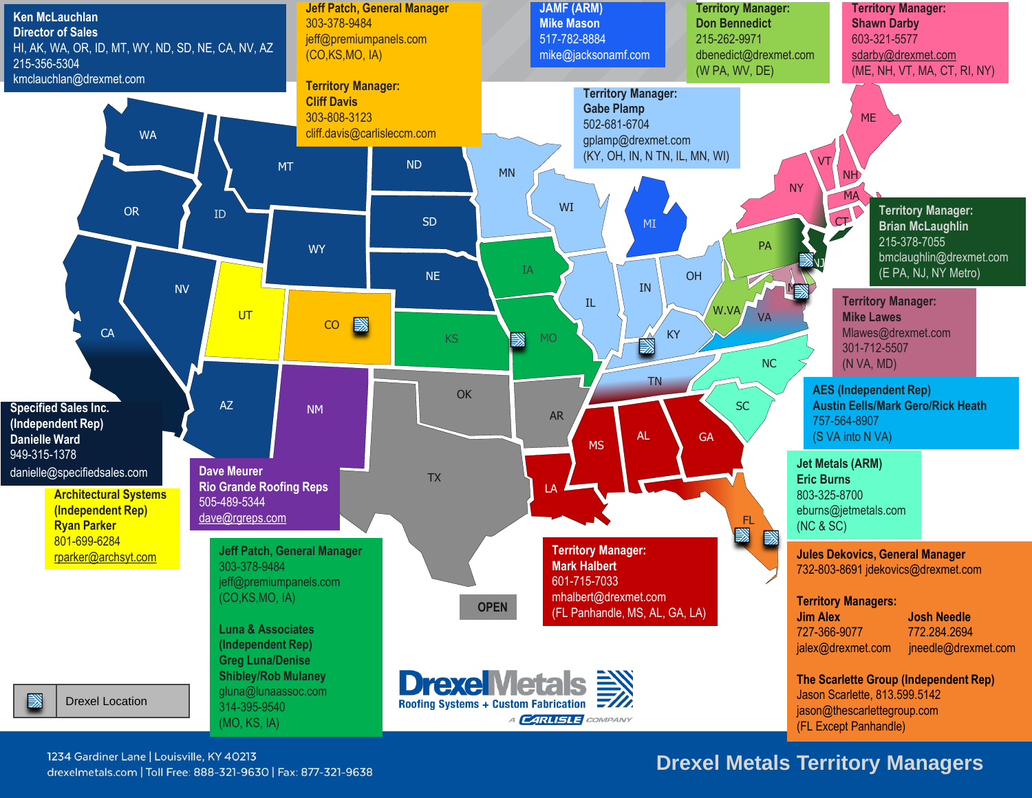

### **Drexel Metals Territory Managers**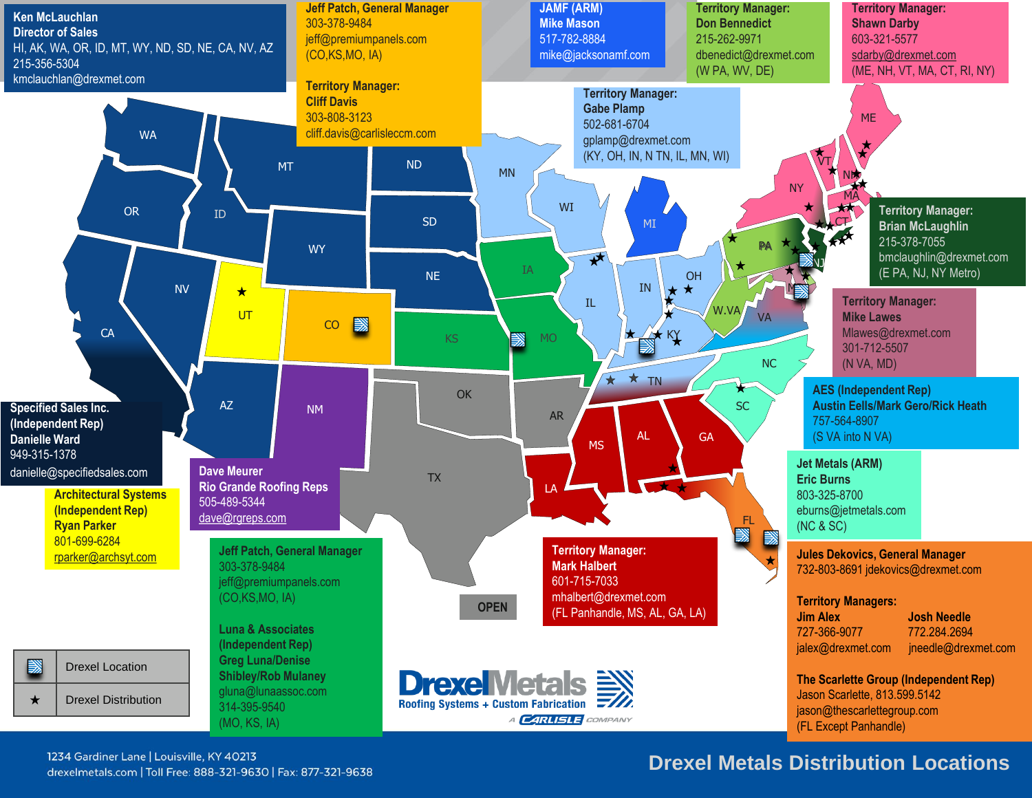

### **Drexel Metals Distribution Locations**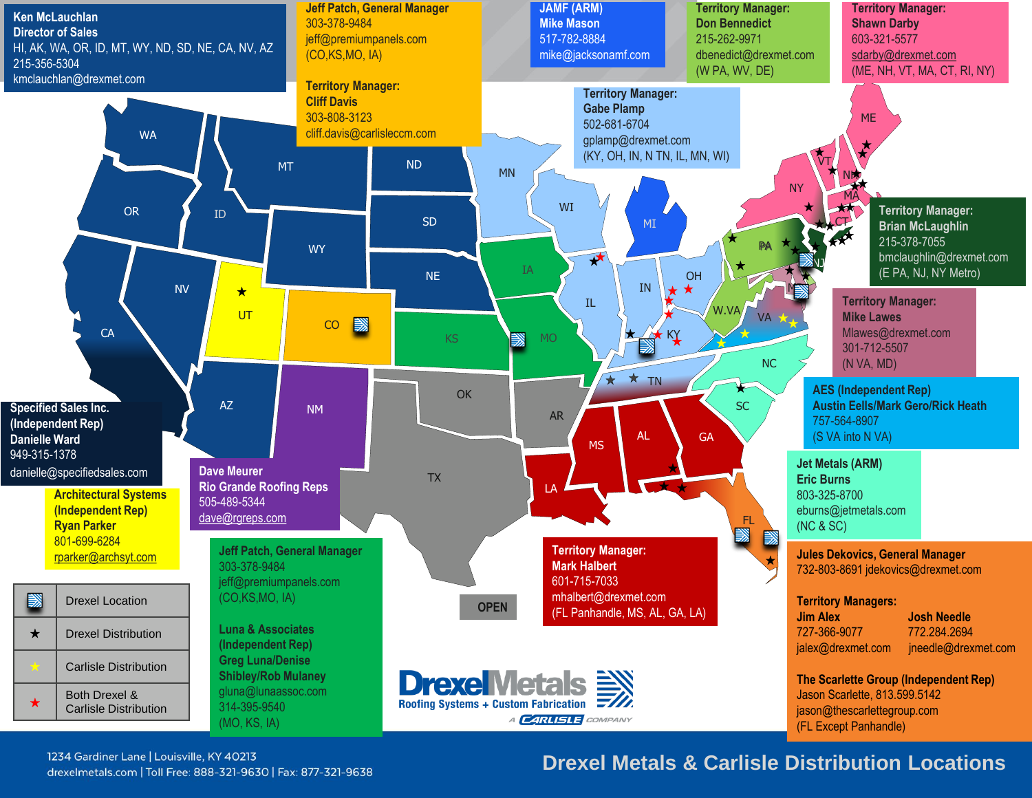

### **Drexel Metals & Carlisle Distribution Locations**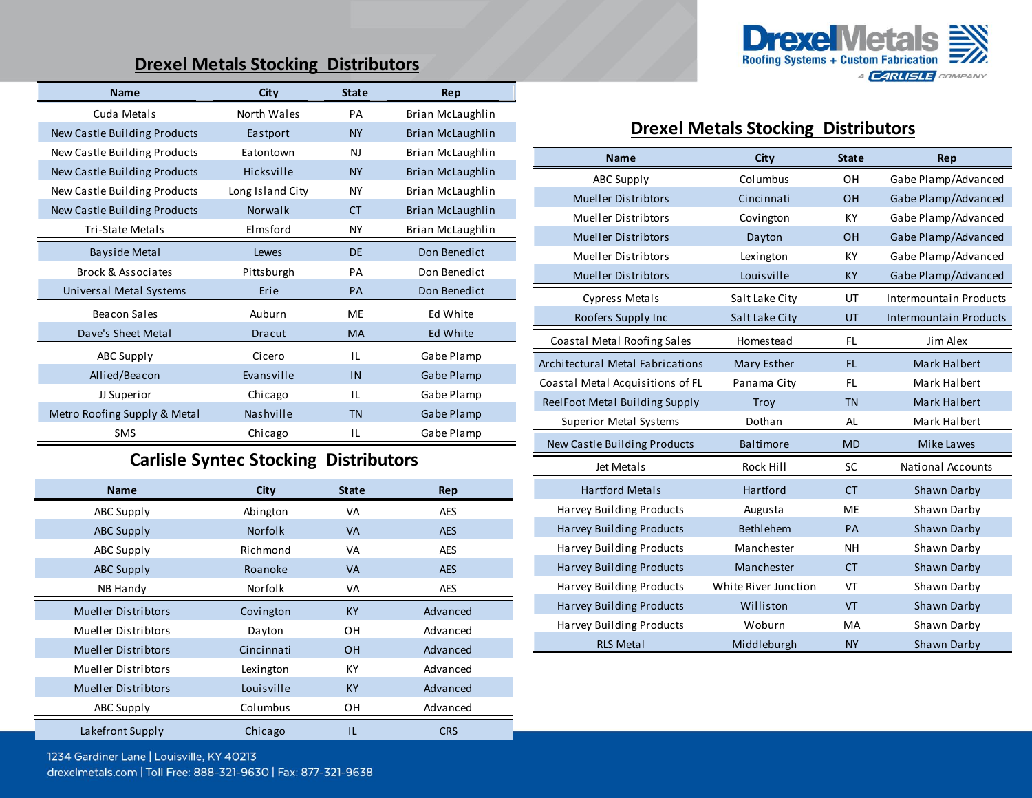### **Drexel Metals Stocking Distributors**

| <b>Name</b>                  | City             | <b>State</b> | Rep              |
|------------------------------|------------------|--------------|------------------|
| Cuda Metals                  | North Wales      | PA           | Brian McLaughlin |
| New Castle Building Products | Eastport         | <b>NY</b>    | Brian McLaughlin |
| New Castle Building Products | Eatontown        | N            | Brian McLaughlin |
| New Castle Building Products | Hicksville       | <b>NY</b>    | Brian McLaughlin |
| New Castle Building Products | Long Island City | <b>NY</b>    | Brian McLaughlin |
| New Castle Building Products | Norwalk          | <b>CT</b>    | Brian McLaughlin |
| Tri-State Metals             | Elmsford         | <b>NY</b>    | Brian McLaughlin |
| <b>Bayside Metal</b>         | Lewes            | <b>DF</b>    | Don Benedict     |
| Brock & Associates           | Pittsburgh       | PA           | Don Benedict     |
| Universal Metal Systems      | Erie             | PA           | Don Benedict     |
| Beacon Sales                 | Auburn           | ME           | Ed White         |
| Dave's Sheet Metal           | Dracut           | MA           | Ed White         |
| ABC Supply                   | Cicero           | IL           | Gabe Plamp       |
| Allied/Beacon                | Evansville       | IN           | Gabe Plamp       |
| JJ Superior                  | Chicago          | IL           | Gabe Plamp       |
| Metro Roofing Supply & Metal | Nashville        | <b>TN</b>    | Gabe Plamp       |
| <b>SMS</b>                   | Chicago          | ΙL           | Gabe Plamp       |

### **Carlisle Syntec Stocking Distributors**

| <b>Name</b>                | City           | <b>State</b> | Rep        |
|----------------------------|----------------|--------------|------------|
| ABC Supply                 | Abington       | VA           | <b>AES</b> |
| <b>ABC Supply</b>          | <b>Norfolk</b> | <b>VA</b>    | <b>AES</b> |
| ABC Supply                 | Richmond       | VA           | <b>AES</b> |
| ABC Supply                 | Roanoke        | <b>VA</b>    | <b>AES</b> |
| NB Handy                   | Norfolk        | VA           | <b>AES</b> |
| <b>Mueller Distribtors</b> | Covington      | <b>KY</b>    | Advanced   |
| Mueller Distribtors        | Dayton         | OН           | Advanced   |
| <b>Mueller Distribtors</b> | Cincinnati     | <b>OH</b>    | Advanced   |
| Mueller Distribtors        | Lexington      | КY           | Advanced   |
| <b>Mueller Distribtors</b> | Louisville     | <b>KY</b>    | Advanced   |
| ABC Supply                 | Columbus       | ΟH           | Advanced   |
| Lakefront Supply           | Chicago        | IL           | <b>CRS</b> |
|                            |                |              |            |



#### **Drexel Metals Stocking Distributors**

| <b>Name</b>                             | <b>City</b>          | <b>State</b> | Rep                           |
|-----------------------------------------|----------------------|--------------|-------------------------------|
| <b>ABC Supply</b>                       | Columbus             | OH           | Gabe Plamp/Advanced           |
| <b>Mueller Distribtors</b>              | Cincinnati           | OH           | Gabe Plamp/Advanced           |
| <b>Mueller Distribtors</b>              | Covington            | KY           | Gabe Plamp/Advanced           |
| <b>Mueller Distribtors</b>              | Dayton               | OH           | Gabe Plamp/Advanced           |
| Mueller Distribtors                     | Lexington            | KY           | Gabe Plamp/Advanced           |
| <b>Mueller Distribtors</b>              | Louisville           | <b>KY</b>    | Gabe Plamp/Advanced           |
| Cypress Metals                          | Salt Lake City       | UT           | Intermountain Products        |
| Roofers Supply Inc                      | Salt Lake City       | UT           | <b>Intermountain Products</b> |
| Coastal Metal Roofing Sales             | <b>Homestead</b>     | <b>FL</b>    | Jim Alex                      |
| <b>Architectural Metal Fabrications</b> | Mary Esther          | FL.          | Mark Halbert                  |
| Coastal Metal Acquisitions of FL        | Panama City          | <b>FL</b>    | Mark Halbert                  |
| ReelFoot Metal Building Supply          | Troy                 | <b>TN</b>    | Mark Halbert                  |
| <b>Superior Metal Systems</b>           | Dothan               | AL           | Mark Halbert                  |
| New Castle Building Products            | <b>Baltimore</b>     | <b>MD</b>    | Mike Lawes                    |
| Jet Metals                              | Rock Hill            | SC           | <b>National Accounts</b>      |
| <b>Hartford Metals</b>                  | Hartford             | <b>CT</b>    | Shawn Darby                   |
| Harvey Building Products                | Augusta              | <b>ME</b>    | Shawn Darby                   |
| Harvey Building Products                | <b>Bethlehem</b>     | PA           | Shawn Darby                   |
| Harvey Building Products                | Manchester           | <b>NH</b>    | Shawn Darby                   |
| <b>Harvey Building Products</b>         | Manchester           | <b>CT</b>    | Shawn Darby                   |
| Harvey Building Products                | White River Junction | VT           | Shawn Darby                   |
| Harvey Building Products                | Williston            | VT           | Shawn Darby                   |
| Harvey Building Products                | Woburn               | MA           | Shawn Darby                   |
| <b>RLS Metal</b>                        | Middleburgh          | <b>NY</b>    | Shawn Darby                   |

drexelmetals.com | Toll Free: 888-321-9630 | Fax: 877-321-9638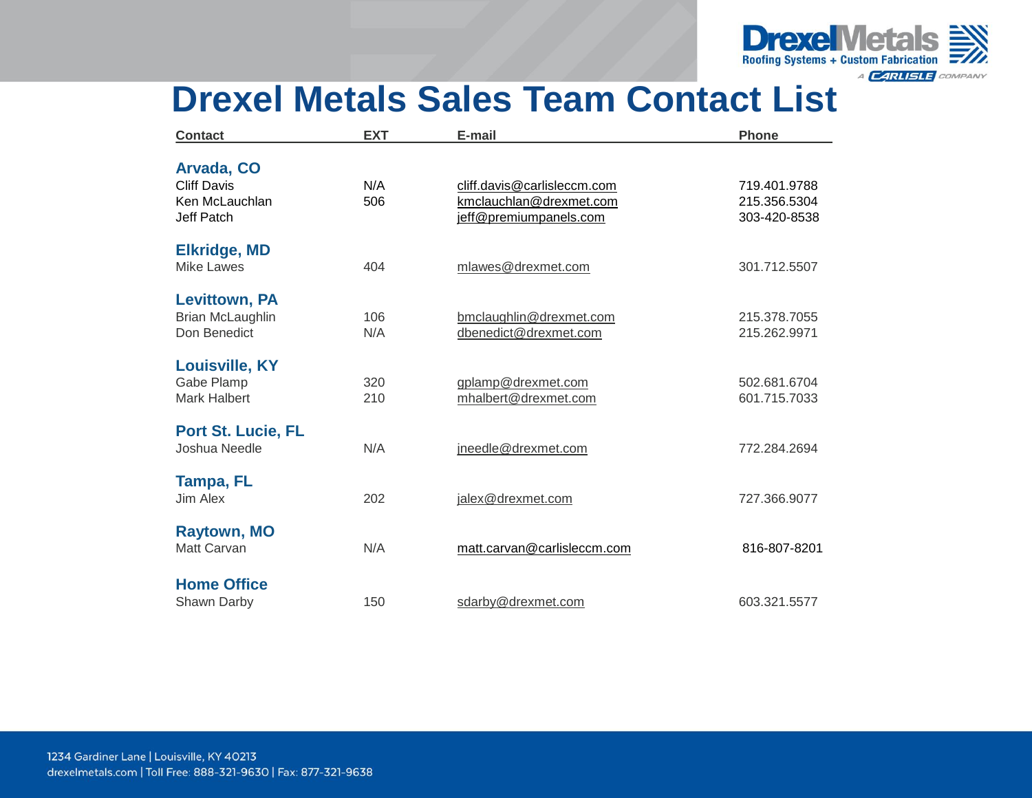

### **Drexel Metals Sales Team Contact List**

| <b>Contact</b>            | <b>EXT</b> | E-mail                      | <b>Phone</b> |
|---------------------------|------------|-----------------------------|--------------|
|                           |            |                             |              |
| Arvada, CO                |            |                             |              |
| <b>Cliff Davis</b>        | N/A        | cliff.davis@carlisleccm.com | 719.401.9788 |
| Ken McLauchlan            | 506        | kmclauchlan@drexmet.com     | 215.356.5304 |
| Jeff Patch                |            | jeff@premiumpanels.com      | 303-420-8538 |
| <b>Elkridge, MD</b>       |            |                             |              |
| <b>Mike Lawes</b>         | 404        | mlawes@drexmet.com          | 301.712.5507 |
| <b>Levittown, PA</b>      |            |                             |              |
| Brian McLaughlin          | 106        | bmclaughlin@drexmet.com     | 215.378.7055 |
| Don Benedict              | N/A        |                             |              |
|                           |            | dbenedict@drexmet.com       | 215.262.9971 |
| <b>Louisville, KY</b>     |            |                             |              |
| Gabe Plamp                | 320        | gplamp@drexmet.com          | 502.681.6704 |
| <b>Mark Halbert</b>       | 210        | mhalbert@drexmet.com        | 601.715.7033 |
| <b>Port St. Lucie, FL</b> |            |                             |              |
| Joshua Needle             | N/A        | jneedle@drexmet.com         | 772.284.2694 |
|                           |            |                             |              |
| Tampa, FL                 |            |                             |              |
| Jim Alex                  | 202        | jalex@drexmet.com           | 727.366.9077 |
| <b>Raytown, MO</b>        |            |                             |              |
| Matt Carvan               | N/A        | matt.carvan@carlisleccm.com | 816-807-8201 |
|                           |            |                             |              |
| <b>Home Office</b>        |            |                             |              |
| Shawn Darby               | 150        | sdarby@drexmet.com          | 603.321.5577 |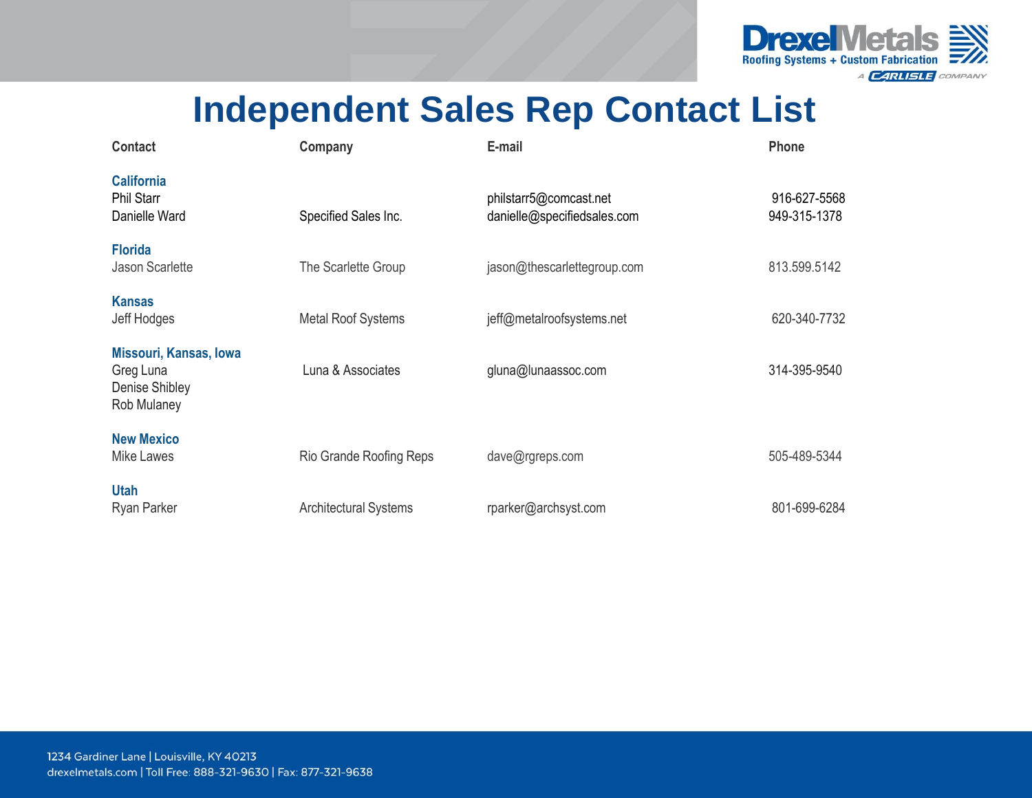

# **Independent Sales Rep Contact List**

| Contact                                                                     | Company                      | E-mail                                                | Phone                        |
|-----------------------------------------------------------------------------|------------------------------|-------------------------------------------------------|------------------------------|
| <b>California</b><br><b>Phil Starr</b><br>Danielle Ward                     | Specified Sales Inc.         | philstarr5@comcast.net<br>danielle@specifiedsales.com | 916-627-5568<br>949-315-1378 |
| <b>Florida</b><br><b>Jason Scarlette</b>                                    | The Scarlette Group          | jason@thescarlettegroup.com                           | 813.599.5142                 |
| <b>Kansas</b><br>Jeff Hodges                                                | <b>Metal Roof Systems</b>    | jeff@metalroofsystems.net                             | 620-340-7732                 |
| <b>Missouri, Kansas, Iowa</b><br>Greg Luna<br>Denise Shibley<br>Rob Mulaney | Luna & Associates            | gluna@lunaassoc.com                                   | 314-395-9540                 |
| <b>New Mexico</b><br>Mike Lawes                                             | Rio Grande Roofing Reps      | dave@rgreps.com                                       | 505-489-5344                 |
| <b>Utah</b><br>Ryan Parker                                                  | <b>Architectural Systems</b> | rparker@archsyst.com                                  | 801-699-6284                 |

1234 Gardiner Lane | Louisville, KY 40213 drexelmetals.com | Toll Free: 888-321-9630 | Fax: 877-321-9638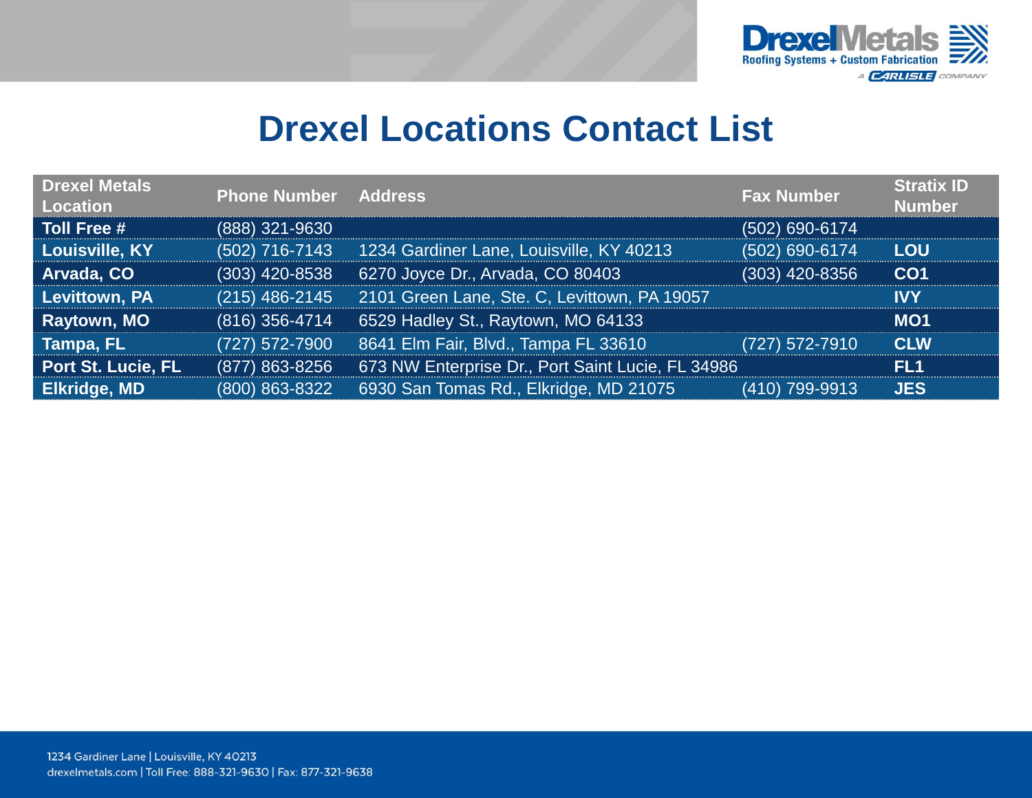

### **Drexel Locations Contact List**

| <b>Drexel Metals</b><br>Location | <b>Phone Number Address</b> |                                                   | <b>Fax Number</b> | <b>Stratix ID</b><br><b>Number</b> |
|----------------------------------|-----------------------------|---------------------------------------------------|-------------------|------------------------------------|
| Toll Free #                      | (888) 321-9630              |                                                   | (502) 690-6174    |                                    |
| Louisville, KY                   | (502) 716-7143              | 1234 Gardiner Lane, Louisville, KY 40213          | (502) 690-6174    | <b>LOU</b>                         |
| Arvada, CO                       | $(303)$ 420-8538            | 6270 Joyce Dr., Arvada, CO 80403                  | (303) 420-8356    | CO <sub>1</sub>                    |
| Levittown, PA                    | $(215)$ 486-2145            | 2101 Green Lane, Ste. C, Levittown, PA 19057      |                   | IVY                                |
| Raytown, MO                      | (816) 356-4714              | 6529 Hadley St., Raytown, MO 64133                |                   | <b>MO1</b>                         |
| Tampa, FL <sup>'</sup>           | (727) 572-7900              | 8641 Elm Fair, Blvd., Tampa FL 33610              | (727) 572-7910    | <b>CLW</b>                         |
| <b>Port St. Lucie, FL</b>        | (877) 863-8256              | 673 NW Enterprise Dr., Port Saint Lucie, FL 34986 |                   | FL <sub>1</sub>                    |
| <b>Elkridge, MD</b>              | (800) 863-8322              | 6930 San Tomas Rd., Elkridge, MD 21075            | (410) 799-9913    | <b>JES</b>                         |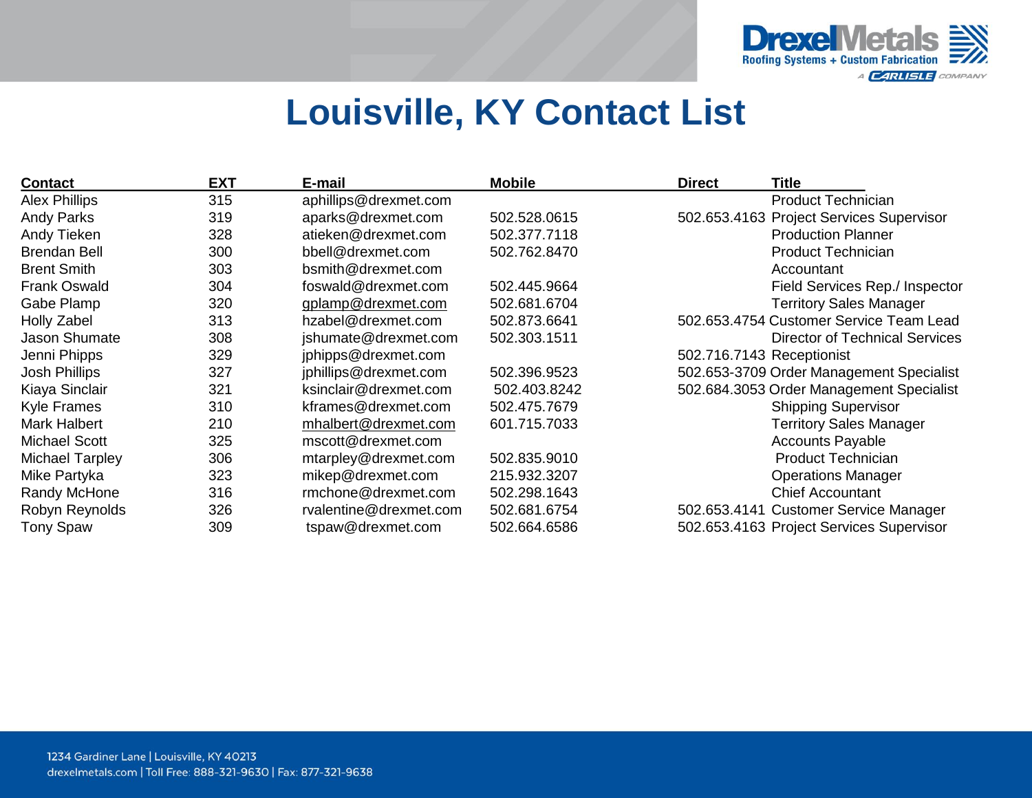

# **Louisville, KY Contact List**

| <b>Contact</b>       | <b>EXT</b> | E-mail                 | <b>Mobile</b> | <b>Direct</b>             | Title                                    |
|----------------------|------------|------------------------|---------------|---------------------------|------------------------------------------|
| <b>Alex Phillips</b> | 315        | aphillips@drexmet.com  |               |                           | <b>Product Technician</b>                |
| <b>Andy Parks</b>    | 319        | aparks@drexmet.com     | 502.528.0615  |                           | 502.653.4163 Project Services Supervisor |
| Andy Tieken          | 328        | atieken@drexmet.com    | 502.377.7118  |                           | <b>Production Planner</b>                |
| <b>Brendan Bell</b>  | 300        | bbell@drexmet.com      | 502.762.8470  |                           | <b>Product Technician</b>                |
| <b>Brent Smith</b>   | 303        | bsmith@drexmet.com     |               |                           | Accountant                               |
| <b>Frank Oswald</b>  | 304        | foswald@drexmet.com    | 502.445.9664  |                           | Field Services Rep./ Inspector           |
| Gabe Plamp           | 320        | gplamp@drexmet.com     | 502.681.6704  |                           | <b>Territory Sales Manager</b>           |
| <b>Holly Zabel</b>   | 313        | hzabel@drexmet.com     | 502.873.6641  |                           | 502.653.4754 Customer Service Team Lead  |
| Jason Shumate        | 308        | jshumate@drexmet.com   | 502.303.1511  |                           | <b>Director of Technical Services</b>    |
| Jenni Phipps         | 329        | jphipps@drexmet.com    |               | 502.716.7143 Receptionist |                                          |
| Josh Phillips        | 327        | jphillips@drexmet.com  | 502.396.9523  |                           | 502.653-3709 Order Management Specialist |
| Kiaya Sinclair       | 321        | ksinclair@drexmet.com  | 502.403.8242  |                           | 502.684.3053 Order Management Specialist |
| <b>Kyle Frames</b>   | 310        | kframes@drexmet.com    | 502.475.7679  |                           | <b>Shipping Supervisor</b>               |
| <b>Mark Halbert</b>  | 210        | mhalbert@drexmet.com   | 601.715.7033  |                           | <b>Territory Sales Manager</b>           |
| <b>Michael Scott</b> | 325        | mscott@drexmet.com     |               |                           | <b>Accounts Payable</b>                  |
| Michael Tarpley      | 306        | mtarpley@drexmet.com   | 502.835.9010  |                           | Product Technician                       |
| Mike Partyka         | 323        | mikep@drexmet.com      | 215.932.3207  |                           | <b>Operations Manager</b>                |
| Randy McHone         | 316        | rmchone@drexmet.com    | 502.298.1643  |                           | <b>Chief Accountant</b>                  |
| Robyn Reynolds       | 326        | rvalentine@drexmet.com | 502.681.6754  |                           | 502.653.4141 Customer Service Manager    |
| <b>Tony Spaw</b>     | 309        | tspaw@drexmet.com      | 502.664.6586  |                           | 502.653.4163 Project Services Supervisor |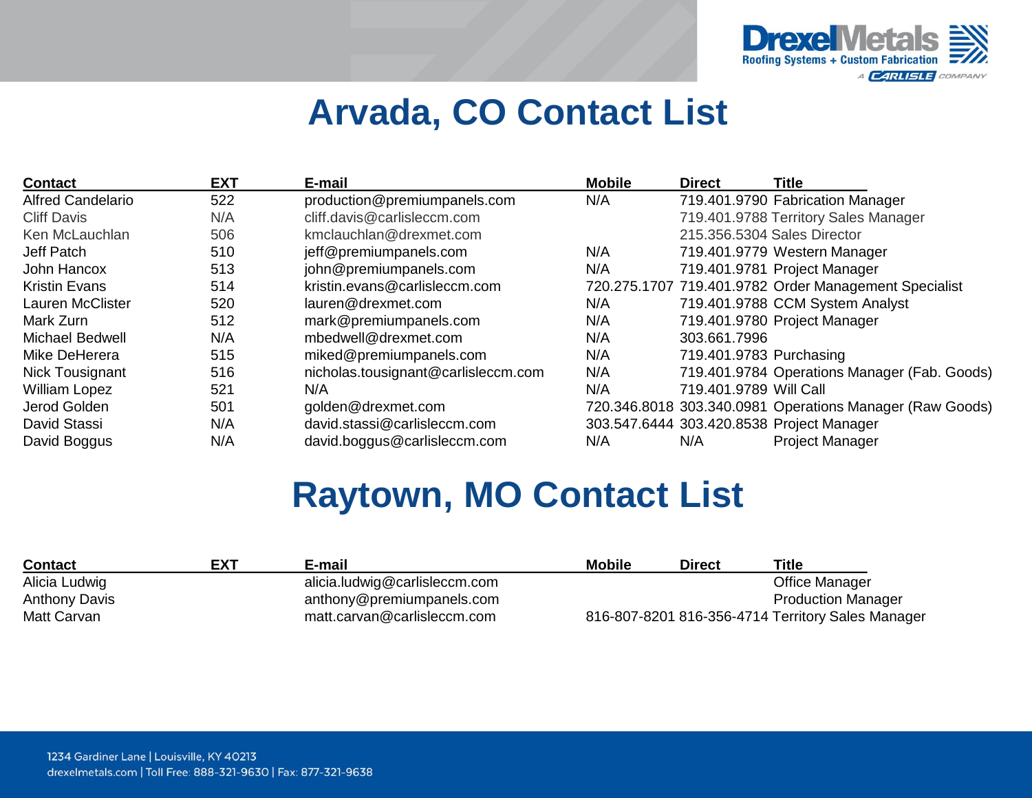

# **Arvada, CO Contact List**

| <b>Contact</b>           | <b>EXT</b> | E-mail                              | <b>Mobile</b> | <b>Direct</b>           | <b>Title</b>                                             |
|--------------------------|------------|-------------------------------------|---------------|-------------------------|----------------------------------------------------------|
| <b>Alfred Candelario</b> | 522        | production@premiumpanels.com        | N/A           |                         | 719.401.9790 Fabrication Manager                         |
| <b>Cliff Davis</b>       | N/A        | cliff.davis@carlisleccm.com         |               |                         | 719.401.9788 Territory Sales Manager                     |
| Ken McLauchlan           | 506        | kmclauchlan@drexmet.com             |               |                         | 215.356.5304 Sales Director                              |
| Jeff Patch               | 510        | jeff@premiumpanels.com              | N/A           |                         | 719.401.9779 Western Manager                             |
| John Hancox              | 513        | john@premiumpanels.com              | N/A           |                         | 719.401.9781 Project Manager                             |
| <b>Kristin Evans</b>     | 514        | kristin.evans@carlisleccm.com       |               |                         | 720.275.1707 719.401.9782 Order Management Specialist    |
| <b>Lauren McClister</b>  | 520        | lauren@drexmet.com                  | N/A           |                         | 719.401.9788 CCM System Analyst                          |
| Mark Zurn                | 512        | mark@premiumpanels.com              | N/A           |                         | 719.401.9780 Project Manager                             |
| <b>Michael Bedwell</b>   | N/A        | mbedwell@drexmet.com                | N/A           | 303.661.7996            |                                                          |
| Mike DeHerera            | 515        | miked@premiumpanels.com             | N/A           | 719.401.9783 Purchasing |                                                          |
| Nick Tousignant          | 516        | nicholas.tousignant@carlisleccm.com | N/A           |                         | 719.401.9784 Operations Manager (Fab. Goods)             |
| <b>William Lopez</b>     | 521        | N/A                                 | N/A           | 719.401.9789 Will Call  |                                                          |
| Jerod Golden             | 501        | golden@drexmet.com                  |               |                         | 720.346.8018 303.340.0981 Operations Manager (Raw Goods) |
| David Stassi             | N/A        | david.stassi@carlisleccm.com        |               |                         | 303.547.6444 303.420.8538 Project Manager                |
| David Boggus             | N/A        | david.boggus@carlisleccm.com        | N/A           | N/A                     | <b>Project Manager</b>                                   |

## **Raytown, MO Contact List**

| <b>Contact</b>       | <b>EXT</b> | E-mail                        | <b>Mobile</b> | <b>Direct</b> | Title                                             |
|----------------------|------------|-------------------------------|---------------|---------------|---------------------------------------------------|
| Alicia Ludwig        |            | alicia.ludwig@carlisleccm.com |               |               | Office Manager                                    |
| <b>Anthony Davis</b> |            | anthony@premiumpanels.com     |               |               | <b>Production Manager</b>                         |
| Matt Carvan          |            | matt.carvan@carlisleccm.com   |               |               | 816-807-8201 816-356-4714 Territory Sales Manager |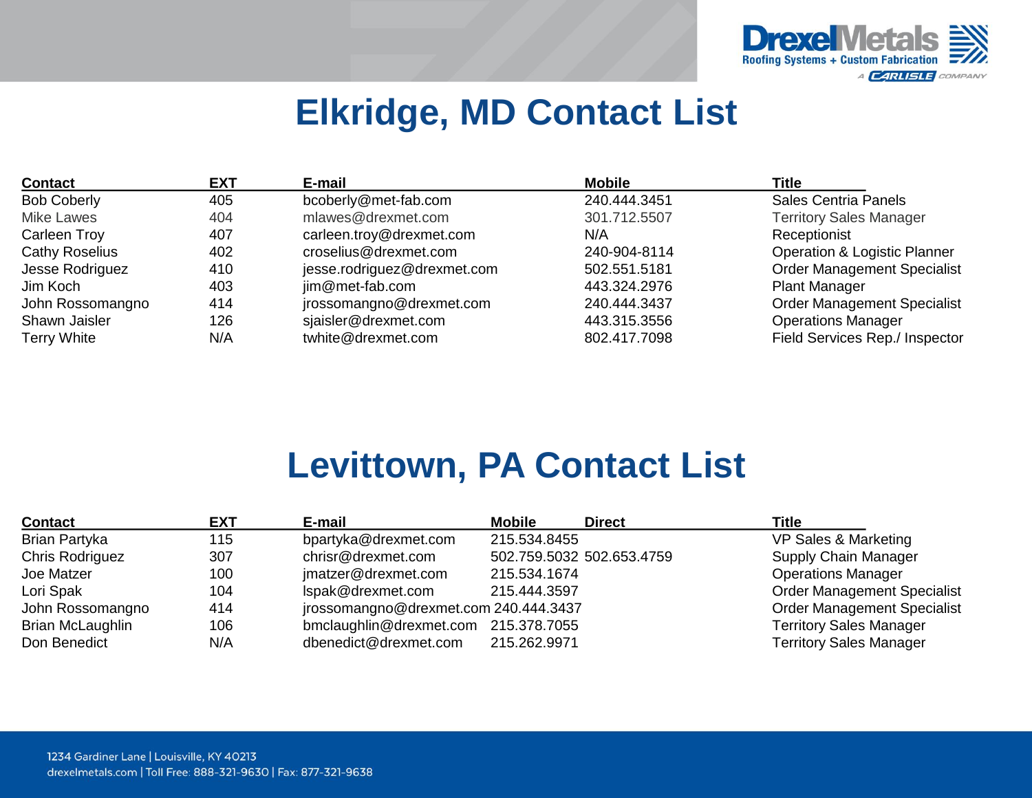

# **Elkridge, MD Contact List**

| <b>Contact</b>        | <b>EXT</b> | E-mail                      | <b>Mobile</b> | Title                                   |
|-----------------------|------------|-----------------------------|---------------|-----------------------------------------|
| <b>Bob Coberly</b>    | 405        | bcoberly@met-fab.com        | 240.444.3451  | <b>Sales Centria Panels</b>             |
| <b>Mike Lawes</b>     | 404        | mlawes@drexmet.com          | 301.712.5507  | <b>Territory Sales Manager</b>          |
| <b>Carleen Troy</b>   | 407        | carleen.troy@drexmet.com    | N/A           | Receptionist                            |
| <b>Cathy Roselius</b> | 402        | croselius@drexmet.com       | 240-904-8114  | <b>Operation &amp; Logistic Planner</b> |
| Jesse Rodriguez       | 410        | jesse.rodriguez@drexmet.com | 502.551.5181  | <b>Order Management Specialist</b>      |
| Jim Koch              | 403        | jim@met-fab.com             | 443.324.2976  | <b>Plant Manager</b>                    |
| John Rossomangno      | 414        | jrossomangno@drexmet.com    | 240.444.3437  | <b>Order Management Specialist</b>      |
| Shawn Jaisler         | 126        | sjaisler@drexmet.com        | 443.315.3556  | <b>Operations Manager</b>               |
| <b>Terry White</b>    | N/A        | twhite@drexmet.com          | 802.417.7098  | Field Services Rep./ Inspector          |

# **Levittown, PA Contact List**

| <b>Contact</b>         | <b>EXT</b> | E-mail                                | <b>Mobile</b> | <b>Direct</b>             | <b>Title</b>                       |
|------------------------|------------|---------------------------------------|---------------|---------------------------|------------------------------------|
| Brian Partyka          | 115        | bpartyka@drexmet.com                  | 215.534.8455  |                           | VP Sales & Marketing               |
| <b>Chris Rodriguez</b> | 307        | chrisr@drexmet.com                    |               | 502.759.5032 502.653.4759 | Supply Chain Manager               |
| Joe Matzer             | 100        | jmatzer@drexmet.com                   | 215.534.1674  |                           | <b>Operations Manager</b>          |
| Lori Spak              | 104        | Ispak@drexmet.com                     | 215.444.3597  |                           | <b>Order Management Specialist</b> |
| John Rossomangno       | 414        | jrossomangno@drexmet.com 240.444.3437 |               |                           | <b>Order Management Specialist</b> |
| Brian McLaughlin       | 106        | bmclaughlin@drexmet.com 215.378.7055  |               |                           | <b>Territory Sales Manager</b>     |
| Don Benedict           | N/A        | dbenedict@drexmet.com                 | 215.262.9971  |                           | <b>Territory Sales Manager</b>     |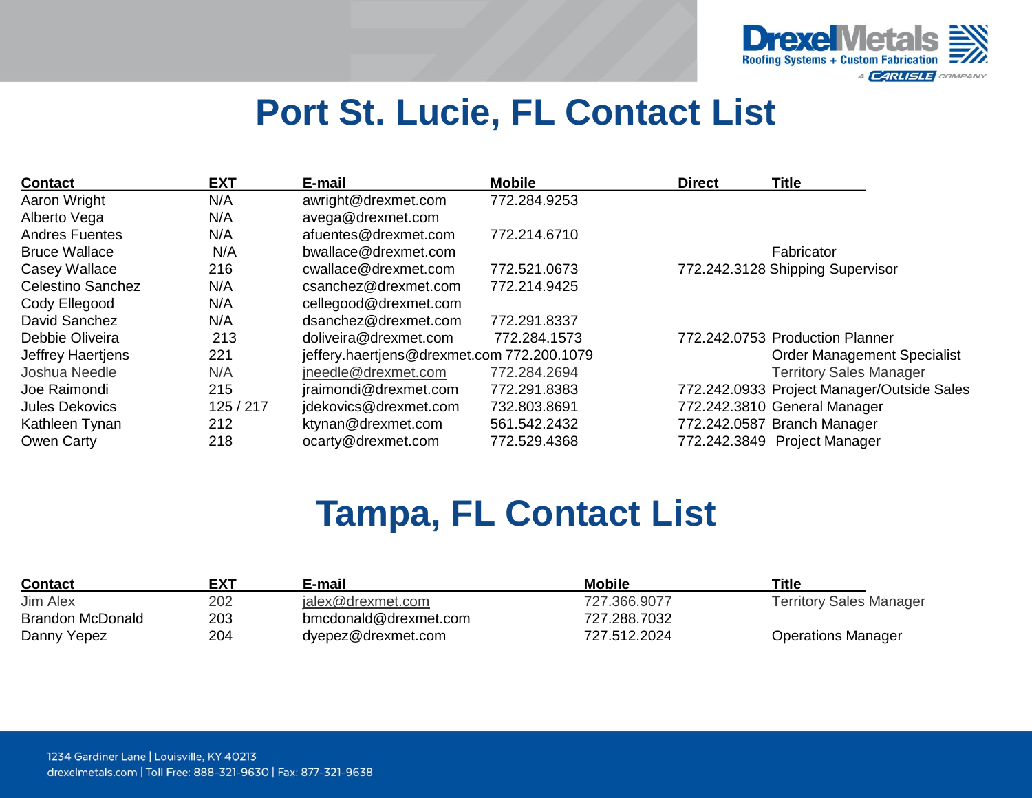

# **Port St. Lucie, FL Contact List**

| <b>Contact</b>           | <b>EXT</b> | E-mail                                     | <b>Mobile</b> | <b>Direct</b> | <b>Title</b>                               |
|--------------------------|------------|--------------------------------------------|---------------|---------------|--------------------------------------------|
| Aaron Wright             | N/A        | awright@drexmet.com                        | 772.284.9253  |               |                                            |
| Alberto Vega             | N/A        | avega@drexmet.com                          |               |               |                                            |
| <b>Andres Fuentes</b>    | N/A        | afuentes@drexmet.com                       | 772.214.6710  |               |                                            |
| <b>Bruce Wallace</b>     | N/A        | bwallace@drexmet.com                       |               |               | Fabricator                                 |
| Casey Wallace            | 216        | cwallace@drexmet.com                       | 772.521.0673  |               | 772.242.3128 Shipping Supervisor           |
| <b>Celestino Sanchez</b> | N/A        | csanchez@drexmet.com                       | 772.214.9425  |               |                                            |
| Cody Ellegood            | N/A        | cellegood@drexmet.com                      |               |               |                                            |
| David Sanchez            | N/A        | dsanchez@drexmet.com                       | 772.291.8337  |               |                                            |
| Debbie Oliveira          | 213        | doliveira@drexmet.com                      | 772.284.1573  |               | 772.242.0753 Production Planner            |
| Jeffrey Haertjens        | 221        | jeffery.haertjens@drexmet.com 772.200.1079 |               |               | <b>Order Management Specialist</b>         |
| Joshua Needle            | N/A        | ineedle@drexmet.com                        | 772.284.2694  |               | <b>Territory Sales Manager</b>             |
| Joe Raimondi             | 215        | jraimondi@drexmet.com                      | 772.291.8383  |               | 772.242.0933 Project Manager/Outside Sales |
| <b>Jules Dekovics</b>    | 125/217    | jdekovics@drexmet.com                      | 732.803.8691  |               | 772.242.3810 General Manager               |
| Kathleen Tynan           | 212        | ktynan@drexmet.com                         | 561.542.2432  |               | 772.242.0587 Branch Manager                |
| Owen Carty               | 218        | ocarty@drexmet.com                         | 772.529.4368  |               | 772.242.3849 Project Manager               |

# **Tampa, FL Contact List**

| <b>Contact</b>   | <b>EXT</b> | E-mail                | <b>Mobile</b> | <b>Title</b>                   |
|------------------|------------|-----------------------|---------------|--------------------------------|
| Jim Alex         | 202        | jalex@drexmet.com     | 727.366.9077  | <b>Territory Sales Manager</b> |
| Brandon McDonald | 203        | bmcdonald@drexmet.com | 727.288.7032  |                                |
| Danny Yepez      | 204        | dyepez@drexmet.com    | 727.512.2024  | <b>Operations Manager</b>      |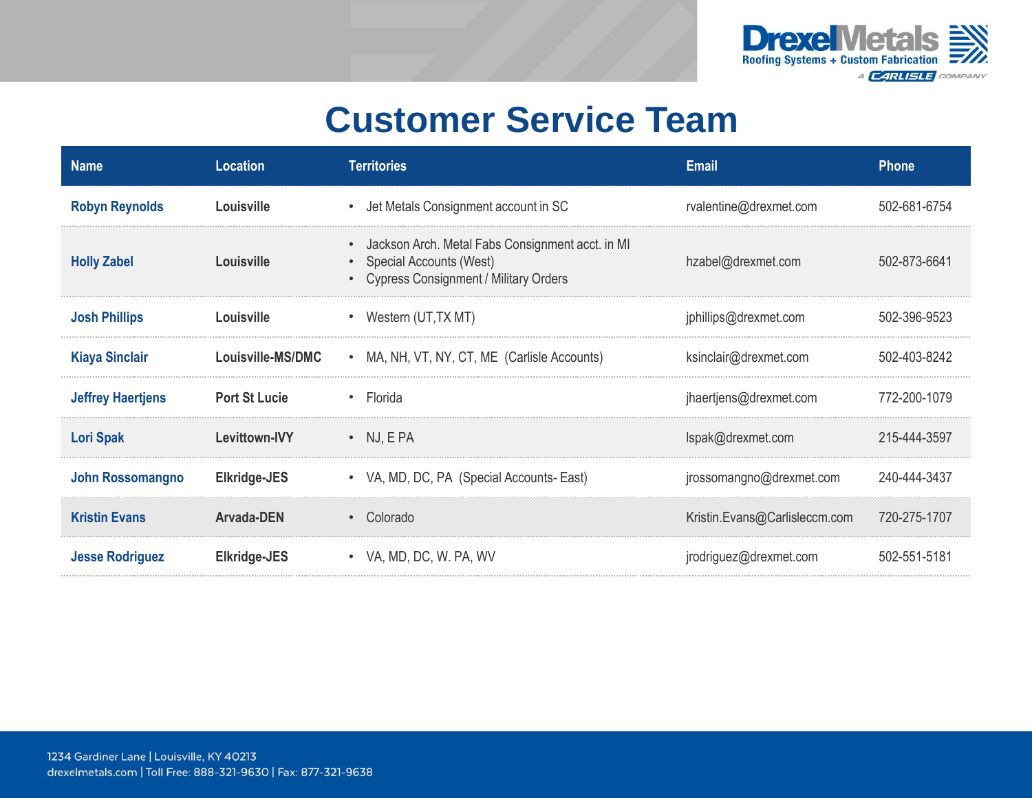

## **Customer Service Team**

| <b>Name</b>              | <b>Location</b>      | <b>Territories</b>                                                                                                         | <b>Email</b>                  | <b>Phone</b> |
|--------------------------|----------------------|----------------------------------------------------------------------------------------------------------------------------|-------------------------------|--------------|
| <b>Robyn Reynolds</b>    | Louisville           | • Jet Metals Consignment account in SC                                                                                     | rvalentine@drexmet.com        | 502-681-6754 |
| <b>Holly Zabel</b>       | Louisville           | • Jackson Arch. Metal Fabs Consignment acct. in MI<br>• Special Accounts (West)<br>• Cypress Consignment / Military Orders | hzabel@drexmet.com            | 502-873-6641 |
| <b>Josh Phillips</b>     | Louisville           | • Western (UT, TX MT)                                                                                                      | jphillips@drexmet.com         | 502-396-9523 |
| <b>Kiaya Sinclair</b>    | Louisville-MS/DMC    | • MA, NH, VT, NY, CT, ME (Carlisle Accounts)                                                                               | ksinclair@drexmet.com         | 502-403-8242 |
| <b>Jeffrey Haertjens</b> | <b>Port St Lucie</b> | $\cdot$ Florida                                                                                                            | jhaertjens@drexmet.com        | 772-200-1079 |
| <b>Lori Spak</b>         | Levittown-IVY        | $\bullet$ NJ, EPA                                                                                                          | Ispak@drexmet.com             | 215-444-3597 |
| <b>John Rossomangno</b>  | Elkridge-JES         | • VA, MD, DC, PA (Special Accounts-East)                                                                                   | jrossomangno@drexmet.com      | 240-444-3437 |
| <b>Kristin Evans</b>     | Arvada-DEN           | • Colorado                                                                                                                 | Kristin.Evans@Carlisleccm.com | 720-275-1707 |
| <b>Jesse Rodriguez</b>   | Elkridge-JES         | • VA, MD, DC, W. PA, WV                                                                                                    | jrodriguez@drexmet.com        | 502-551-5181 |